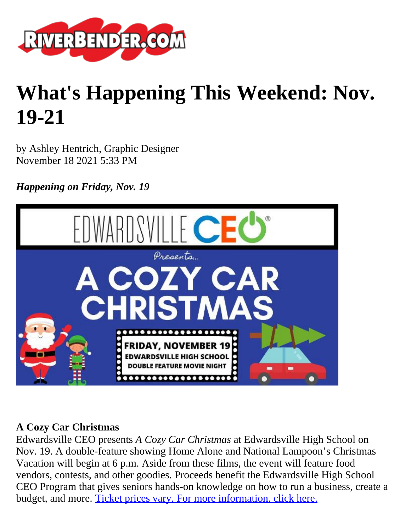

# **What's Happening This Weekend: Nov. 19-21**

by Ashley Hentrich, Graphic Designer November 18 2021 5:33 PM

*Happening on Friday, Nov. 19*



#### **A Cozy Car Christmas**

Edwardsville CEO presents *A Cozy Car Christmas* at Edwardsville High School on Nov. 19. A double-feature showing Home Alone and National Lampoon's Christmas Vacation will begin at 6 p.m. Aside from these films, the event will feature food vendors, contests, and other goodies. Proceeds benefit the Edwardsville High School CEO Program that gives seniors hands-on knowledge on how to run a business, create a budget, and more. [Ticket prices vary. For more information, click here.](https://www.eventbrite.com/e/a-cozy-car-christmas-tickets-198291283567)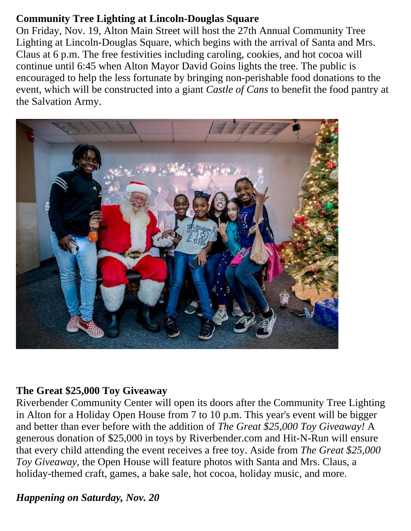#### **Community Tree Lighting at Lincoln-Douglas Square**

On Friday, Nov. 19, Alton Main Street will host the 27th Annual Community Tree Lighting at Lincoln-Douglas Square, which begins with the arrival of Santa and Mrs. Claus at 6 p.m. The free festivities including caroling, cookies, and hot cocoa will continue until 6:45 when Alton Mayor David Goins lights the tree. The public is encouraged to help the less fortunate by bringing non-perishable food donations to the event, which will be constructed into a giant *Castle of Cans* to benefit the food pantry at the Salvation Army.



## **The Great \$25,000 Toy Giveaway**

Riverbender Community Center will open its doors after the Community Tree Lighting in Alton for a Holiday Open House from 7 to 10 p.m. This year's event will be bigger and better than ever before with the addition of *The Great \$25,000 Toy Giveaway!* A generous donation of \$25,000 in toys by Riverbender.com and Hit-N-Run will ensure that every child attending the event receives a free toy. Aside from *The Great \$25,000 Toy Giveaway,* the Open House will feature photos with Santa and Mrs. Claus, a holiday-themed craft, games, a bake sale, hot cocoa, holiday music, and more.

## *Happening on Saturday, Nov. 20*